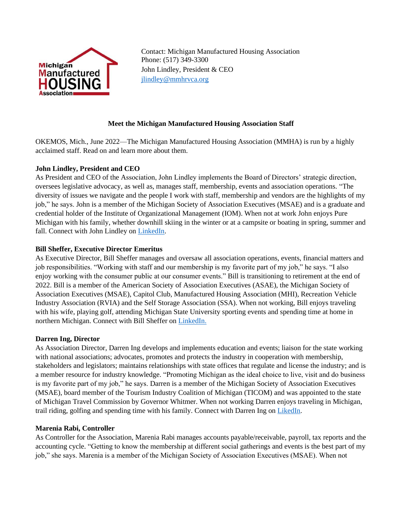

Contact: Michigan Manufactured Housing Association Phone: (517) 349-3300 John Lindley, President & CEO [jlindley@mmhrvca.org](mailto:jlindley@mmhrvca.org)

# **Meet the Michigan Manufactured Housing Association Staff**

OKEMOS, Mich., June 2022—The Michigan Manufactured Housing Association (MMHA) is run by a highly acclaimed staff. Read on and learn more about them.

# **John Lindley, President and CEO**

As President and CEO of the Association, John Lindley implements the Board of Directors' strategic direction, oversees legislative advocacy, as well as, manages staff, membership, events and association operations. "The diversity of issues we navigate and the people I work with staff, membership and vendors are the highlights of my job," he says. John is a member of the Michigan Society of Association Executives (MSAE) and is a graduate and credential holder of the Institute of Organizational Management (IOM). When not at work John enjoys Pure Michigan with his family, whether downhill skiing in the winter or at a campsite or boating in spring, summer and fall. Connect with John Lindley on [LinkedIn.](https://www.linkedin.com/in/john-d-lindley-iom-a421a087/)

# **Bill Sheffer, Executive Director Emeritus**

As Executive Director, Bill Sheffer manages and oversaw all association operations, events, financial matters and job responsibilities. "Working with staff and our membership is my favorite part of my job," he says. "I also enjoy working with the consumer public at our consumer events." Bill is transitioning to retirement at the end of 2022. Bill is a member of the American Society of Association Executives (ASAE), the Michigan Society of Association Executives (MSAE), Capitol Club, Manufactured Housing Association (MHI), Recreation Vehicle Industry Association (RVIA) and the Self Storage Association (SSA). When not working, Bill enjoys traveling with his wife, playing golf, attending Michigan State University sporting events and spending time at home in northern Michigan. Connect with Bill Sheffer on [LinkedIn.](https://www.linkedin.com/in/bill-sheffer-76aa0012/)

### **Darren Ing, Director**

As Association Director, Darren Ing develops and implements education and events; liaison for the state working with national associations; advocates, promotes and protects the industry in cooperation with membership, stakeholders and legislators; maintains relationships with state offices that regulate and license the industry; and is a member resource for industry knowledge. "Promoting Michigan as the ideal choice to live, visit and do business is my favorite part of my job," he says. Darren is a member of the Michigan Society of Association Executives (MSAE), board member of the Tourism Industry Coalition of Michigan (TICOM) and was appointed to the state of Michigan Travel Commission by Governor Whitmer. When not working Darren enjoys traveling in Michigan, trail riding, golfing and spending time with his family. Connect with Darren Ing on [LikedIn.](https://www.linkedin.com/in/darren-ing-2729251b5/)

### **Marenia Rabi, Controller**

As Controller for the Association, Marenia Rabi manages accounts payable/receivable, payroll, tax reports and the accounting cycle. "Getting to know the membership at different social gatherings and events is the best part of my job," she says. Marenia is a member of the Michigan Society of Association Executives (MSAE). When not